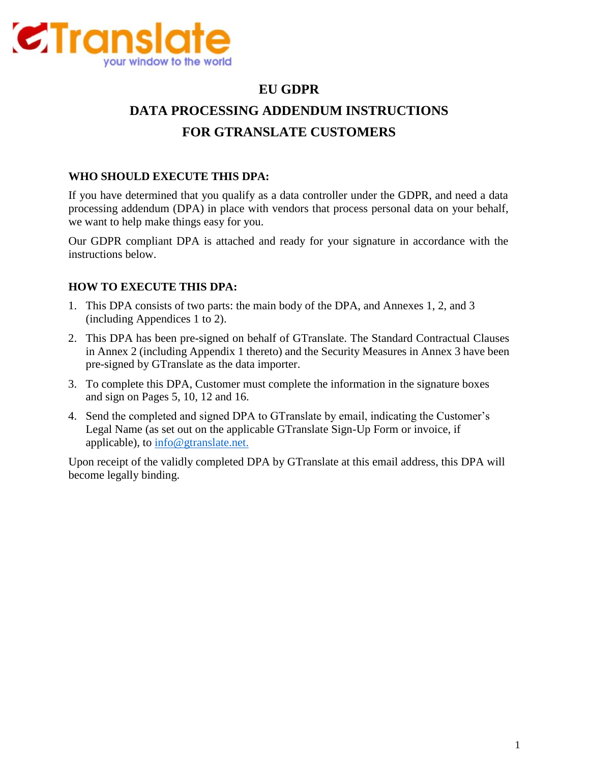

# **EU GDPR DATA PROCESSING ADDENDUM INSTRUCTIONS FOR GTRANSLATE CUSTOMERS**

## **WHO SHOULD EXECUTE THIS DPA:**

If you have determined that you qualify as a data controller under the GDPR, and need a data processing addendum (DPA) in place with vendors that process personal data on your behalf, we want to help make things easy for you.

Our GDPR compliant DPA is attached and ready for your signature in accordance with the instructions below.

# **HOW TO EXECUTE THIS DPA:**

- 1. This DPA consists of two parts: the main body of the DPA, and Annexes 1, 2, and 3 (including Appendices 1 to 2).
- 2. This DPA has been pre-signed on behalf of GTranslate. The Standard Contractual Clauses in Annex 2 (including Appendix 1 thereto) and the Security Measures in Annex 3 have been pre-signed by GTranslate as the data importer.
- 3. To complete this DPA, Customer must complete the information in the signature boxes and sign on Pages 5, 10, 12 and 16.
- 4. Send the completed and signed DPA to GTranslate by email, indicating the Customer's Legal Name (as set out on the applicable GTranslate Sign-Up Form or invoice, if applicable), to [info@gtranslate.net.](mailto:info@gtranslate.net.)

Upon receipt of the validly completed DPA by GTranslate at this email address, this DPA will become legally binding.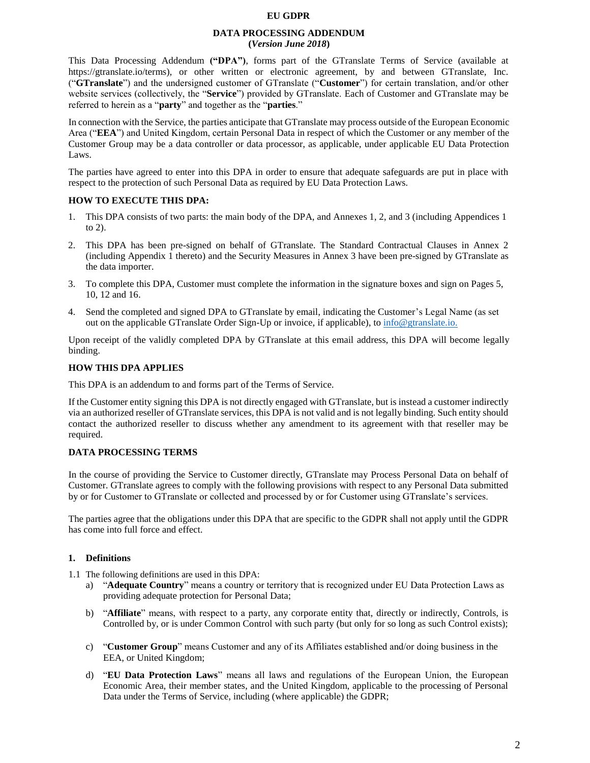#### **EU GDPR**

#### **DATA PROCESSING ADDENDUM (***Version June 2018***)**

This Data Processing Addendum **("DPA")**, forms part of the GTranslate Terms of Service (available at https://gtranslate.io/terms), or other written or electronic agreement, by and between GTranslate, Inc. ("**GTranslate**") and the undersigned customer of GTranslate ("**Customer**") for certain translation, and/or other website services (collectively, the "**Service**") provided by GTranslate. Each of Customer and GTranslate may be referred to herein as a "**party**" and together as the "**parties**."

In connection with the Service, the parties anticipate that GTranslate may process outside of the European Economic Area ("**EEA**") and United Kingdom, certain Personal Data in respect of which the Customer or any member of the Customer Group may be a data controller or data processor, as applicable, under applicable EU Data Protection Laws.

The parties have agreed to enter into this DPA in order to ensure that adequate safeguards are put in place with respect to the protection of such Personal Data as required by EU Data Protection Laws.

## **HOW TO EXECUTE THIS DPA:**

- 1. This DPA consists of two parts: the main body of the DPA, and Annexes 1, 2, and 3 (including Appendices 1 to 2).
- 2. This DPA has been pre-signed on behalf of GTranslate. The Standard Contractual Clauses in Annex 2 (including Appendix 1 thereto) and the Security Measures in Annex 3 have been pre-signed by GTranslate as the data importer.
- 3. To complete this DPA, Customer must complete the information in the signature boxes and sign on Pages 5, 10, 12 and 16.
- 4. Send the completed and signed DPA to GTranslate by email, indicating the Customer's Legal Name (as set out on the applicable GTranslate Order Sign-Up or invoice, if applicable), to [info@gtranslate.io.](mailto:info@gtranslate.io.)

Upon receipt of the validly completed DPA by GTranslate at this email address, this DPA will become legally binding.

## **HOW THIS DPA APPLIES**

This DPA is an addendum to and forms part of the Terms of Service.

If the Customer entity signing this DPA is not directly engaged with GTranslate, but is instead a customer indirectly via an authorized reseller of GTranslate services, this DPA is not valid and is not legally binding. Such entity should contact the authorized reseller to discuss whether any amendment to its agreement with that reseller may be required.

#### **DATA PROCESSING TERMS**

In the course of providing the Service to Customer directly, GTranslate may Process Personal Data on behalf of Customer. GTranslate agrees to comply with the following provisions with respect to any Personal Data submitted by or for Customer to GTranslate or collected and processed by or for Customer using GTranslate's services.

The parties agree that the obligations under this DPA that are specific to the GDPR shall not apply until the GDPR has come into full force and effect.

#### **1. Definitions**

1.1 The following definitions are used in this DPA:

- a) "**Adequate Country**" means a country or territory that is recognized under EU Data Protection Laws as providing adequate protection for Personal Data;
- b) "**Affiliate**" means, with respect to a party, any corporate entity that, directly or indirectly, Controls, is Controlled by, or is under Common Control with such party (but only for so long as such Control exists);
- c) "**Customer Group**" means Customer and any of its Affiliates established and/or doing business in the EEA, or United Kingdom;
- d) "**EU Data Protection Laws**" means all laws and regulations of the European Union, the European Economic Area, their member states, and the United Kingdom, applicable to the processing of Personal Data under the Terms of Service, including (where applicable) the GDPR;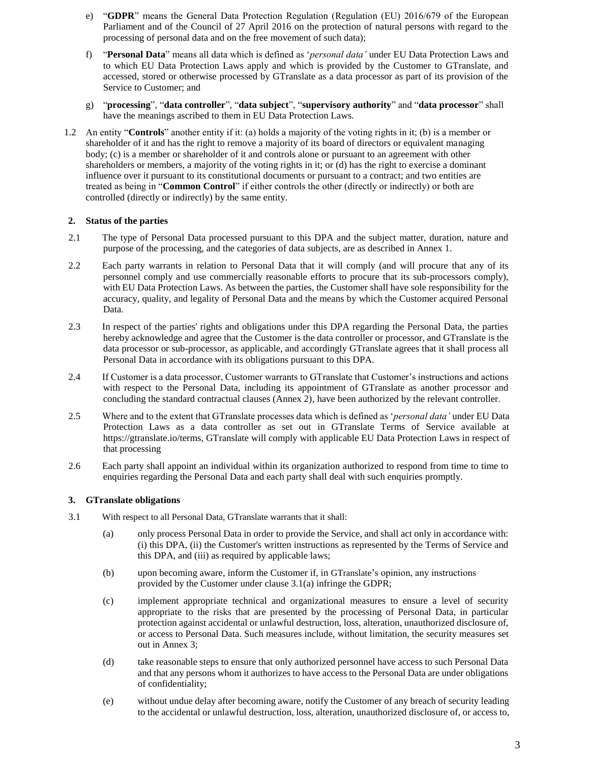- e) "**GDPR**" means the General Data Protection Regulation (Regulation (EU) 2016/679 of the European Parliament and of the Council of 27 April 2016 on the protection of natural persons with regard to the processing of personal data and on the free movement of such data);
- f) "**Personal Data**" means all data which is defined as '*personal data'* under EU Data Protection Laws and to which EU Data Protection Laws apply and which is provided by the Customer to GTranslate, and accessed, stored or otherwise processed by GTranslate as a data processor as part of its provision of the Service to Customer; and
- g) "**processing**", "**data controller**", "**data subject**", "**supervisory authority**" and "**data processor**" shall have the meanings ascribed to them in EU Data Protection Laws.
- 1.2 An entity "**Controls**" another entity if it: (a) holds a majority of the voting rights in it; (b) is a member or shareholder of it and has the right to remove a majority of its board of directors or equivalent managing body; (c) is a member or shareholder of it and controls alone or pursuant to an agreement with other shareholders or members, a majority of the voting rights in it; or (d) has the right to exercise a dominant influence over it pursuant to its constitutional documents or pursuant to a contract; and two entities are treated as being in "**Common Control**" if either controls the other (directly or indirectly) or both are controlled (directly or indirectly) by the same entity.

## **2. Status of the parties**

- 2.1 The type of Personal Data processed pursuant to this DPA and the subject matter, duration, nature and purpose of the processing, and the categories of data subjects, are as described in Annex 1.
- 2.2 Each party warrants in relation to Personal Data that it will comply (and will procure that any of its personnel comply and use commercially reasonable efforts to procure that its sub-processors comply), with EU Data Protection Laws. As between the parties, the Customer shall have sole responsibility for the accuracy, quality, and legality of Personal Data and the means by which the Customer acquired Personal Data.
- 2.3 In respect of the parties' rights and obligations under this DPA regarding the Personal Data, the parties hereby acknowledge and agree that the Customer is the data controller or processor, and GTranslate is the data processor or sub-processor, as applicable, and accordingly GTranslate agrees that it shall process all Personal Data in accordance with its obligations pursuant to this DPA.
- 2.4 If Customer is a data processor, Customer warrants to GTranslate that Customer's instructions and actions with respect to the Personal Data, including its appointment of GTranslate as another processor and concluding the standard contractual clauses (Annex 2), have been authorized by the relevant controller.
- 2.5 Where and to the extent that GTranslate processes data which is defined as '*personal data'* under EU Data Protection Laws as a data controller as set out in GTranslate Terms of Service available at [https://gtranslate.io/terms, G](https://www.cloudflare.com/security-policy/)Translate will comply with applicable EU Data Protection Laws in respect of that processing
- 2.6 Each party shall appoint an individual within its organization authorized to respond from time to time to enquiries regarding the Personal Data and each party shall deal with such enquiries promptly.

## **3. GTranslate obligations**

- 3.1 With respect to all Personal Data, GTranslate warrants that it shall:
	- (a) only process Personal Data in order to provide the Service, and shall act only in accordance with: (i) this DPA, (ii) the Customer's written instructions as represented by the Terms of Service and this DPA, and (iii) as required by applicable laws;
	- (b) upon becoming aware, inform the Customer if, in GTranslate's opinion, any instructions provided by the Customer under clause 3.1(a) infringe the GDPR;
	- (c) implement appropriate technical and organizational measures to ensure a level of security appropriate to the risks that are presented by the processing of Personal Data, in particular protection against accidental or unlawful destruction, loss, alteration, unauthorized disclosure of, or access to Personal Data. Such measures include, without limitation, the security measures set out in Annex 3;
	- (d) take reasonable steps to ensure that only authorized personnel have access to such Personal Data and that any persons whom it authorizes to have access to the Personal Data are under obligations of confidentiality;
	- (e) without undue delay after becoming aware, notify the Customer of any breach of security leading to the accidental or unlawful destruction, loss, alteration, unauthorized disclosure of, or access to,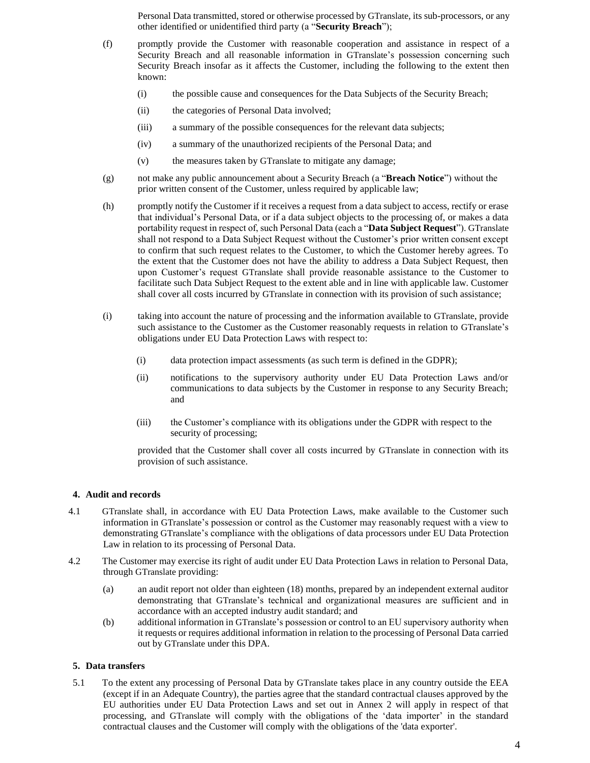Personal Data transmitted, stored or otherwise processed by GTranslate, its sub-processors, or any other identified or unidentified third party (a "**Security Breach**");

- (f) promptly provide the Customer with reasonable cooperation and assistance in respect of a Security Breach and all reasonable information in GTranslate's possession concerning such Security Breach insofar as it affects the Customer, including the following to the extent then known:
	- (i) the possible cause and consequences for the Data Subjects of the Security Breach;
	- (ii) the categories of Personal Data involved;
	- (iii) a summary of the possible consequences for the relevant data subjects;
	- (iv) a summary of the unauthorized recipients of the Personal Data; and
	- (v) the measures taken by GTranslate to mitigate any damage;
- (g) not make any public announcement about a Security Breach (a "**Breach Notice**") without the prior written consent of the Customer, unless required by applicable law;
- (h) promptly notify the Customer if it receives a request from a data subject to access, rectify or erase that individual's Personal Data, or if a data subject objects to the processing of, or makes a data portability request in respect of, such Personal Data (each a "**Data Subject Request**"). GTranslate shall not respond to a Data Subject Request without the Customer's prior written consent except to confirm that such request relates to the Customer, to which the Customer hereby agrees. To the extent that the Customer does not have the ability to address a Data Subject Request, then upon Customer's request GTranslate shall provide reasonable assistance to the Customer to facilitate such Data Subject Request to the extent able and in line with applicable law. Customer shall cover all costs incurred by GTranslate in connection with its provision of such assistance;
- (i) taking into account the nature of processing and the information available to GTranslate, provide such assistance to the Customer as the Customer reasonably requests in relation to GTranslate's obligations under EU Data Protection Laws with respect to:
	- (i) data protection impact assessments (as such term is defined in the GDPR);
	- (ii) notifications to the supervisory authority under EU Data Protection Laws and/or communications to data subjects by the Customer in response to any Security Breach; and
	- (iii) the Customer's compliance with its obligations under the GDPR with respect to the security of processing;

provided that the Customer shall cover all costs incurred by GTranslate in connection with its provision of such assistance.

## **4. Audit and records**

- 4.1 GTranslate shall, in accordance with EU Data Protection Laws, make available to the Customer such information in GTranslate's possession or control as the Customer may reasonably request with a view to demonstrating GTranslate's compliance with the obligations of data processors under EU Data Protection Law in relation to its processing of Personal Data.
- 4.2 The Customer may exercise its right of audit under EU Data Protection Laws in relation to Personal Data, through GTranslate providing:
	- (a) an audit report not older than eighteen (18) months, prepared by an independent external auditor demonstrating that GTranslate's technical and organizational measures are sufficient and in accordance with an accepted industry audit standard; and
	- (b) additional information in GTranslate's possession or control to an EU supervisory authority when it requests or requires additional information in relation to the processing of Personal Data carried out by GTranslate under this DPA.

## **5. Data transfers**

5.1 To the extent any processing of Personal Data by GTranslate takes place in any country outside the EEA (except if in an Adequate Country), the parties agree that the standard contractual clauses approved by the EU authorities under EU Data Protection Laws and set out in Annex 2 will apply in respect of that processing, and GTranslate will comply with the obligations of the 'data importer' in the standard contractual clauses and the Customer will comply with the obligations of the 'data exporter'.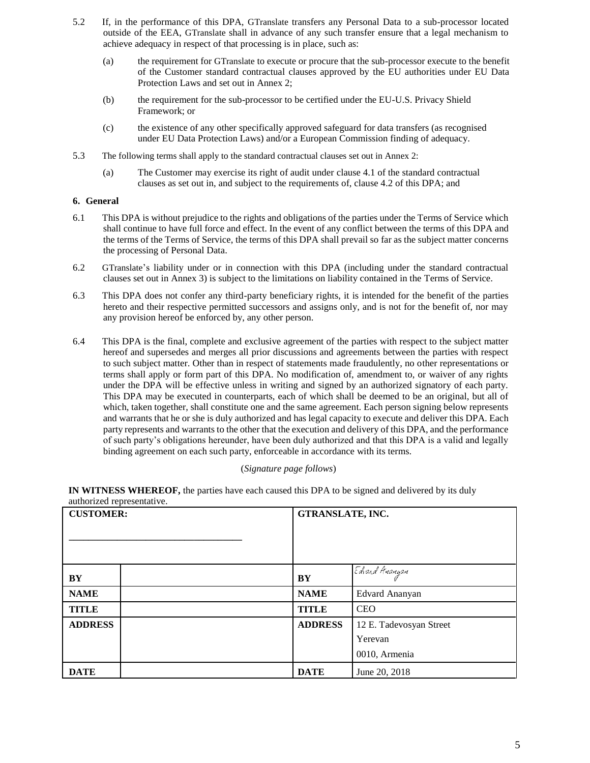- 5.2 If, in the performance of this DPA, GTranslate transfers any Personal Data to a sub-processor located outside of the EEA, GTranslate shall in advance of any such transfer ensure that a legal mechanism to achieve adequacy in respect of that processing is in place, such as:
	- (a) the requirement for GTranslate to execute or procure that the sub-processor execute to the benefit of the Customer standard contractual clauses approved by the EU authorities under EU Data Protection Laws and set out in Annex 2;
	- (b) the requirement for the sub-processor to be certified under the EU-U.S. Privacy Shield Framework; or
	- (c) the existence of any other specifically approved safeguard for data transfers (as recognised under EU Data Protection Laws) and/or a European Commission finding of adequacy.
- 5.3 The following terms shall apply to the standard contractual clauses set out in Annex 2:
	- (a) The Customer may exercise its right of audit under clause 4.1 of the standard contractual clauses as set out in, and subject to the requirements of, clause 4.2 of this DPA; and

## **6. General**

- 6.1 This DPA is without prejudice to the rights and obligations of the parties under the Terms of Service which shall continue to have full force and effect. In the event of any conflict between the terms of this DPA and the terms of the Terms of Service, the terms of this DPA shall prevail so far as the subject matter concerns the processing of Personal Data.
- 6.2 GTranslate's liability under or in connection with this DPA (including under the standard contractual clauses set out in Annex 3) is subject to the limitations on liability contained in the Terms of Service.
- 6.3 This DPA does not confer any third-party beneficiary rights, it is intended for the benefit of the parties hereto and their respective permitted successors and assigns only, and is not for the benefit of, nor may any provision hereof be enforced by, any other person.
- 6.4 This DPA is the final, complete and exclusive agreement of the parties with respect to the subject matter hereof and supersedes and merges all prior discussions and agreements between the parties with respect to such subject matter. Other than in respect of statements made fraudulently, no other representations or terms shall apply or form part of this DPA. No modification of, amendment to, or waiver of any rights under the DPA will be effective unless in writing and signed by an authorized signatory of each party. This DPA may be executed in counterparts, each of which shall be deemed to be an original, but all of which, taken together, shall constitute one and the same agreement. Each person signing below represents and warrants that he or she is duly authorized and has legal capacity to execute and deliver this DPA. Each party represents and warrants to the other that the execution and delivery of this DPA, and the performance of such party's obligations hereunder, have been duly authorized and that this DPA is a valid and legally binding agreement on each such party, enforceable in accordance with its terms.

#### (*Signature page follows*)

**IN WITNESS WHEREOF,** the parties have each caused this DPA to be signed and delivered by its duly authorized representative.

| <b>CUSTOMER:</b> |  | GTRANSLATE, INC. |                         |  |
|------------------|--|------------------|-------------------------|--|
|                  |  |                  |                         |  |
|                  |  |                  |                         |  |
|                  |  |                  |                         |  |
|                  |  |                  |                         |  |
|                  |  |                  | Edvard Ananyan          |  |
| BY               |  | BY               |                         |  |
| <b>NAME</b>      |  | <b>NAME</b>      | Edvard Ananyan          |  |
| <b>TITLE</b>     |  | <b>TITLE</b>     | <b>CEO</b>              |  |
| <b>ADDRESS</b>   |  | <b>ADDRESS</b>   | 12 E. Tadevosyan Street |  |
|                  |  |                  | Yerevan                 |  |
|                  |  |                  | 0010, Armenia           |  |
| <b>DATE</b>      |  | <b>DATE</b>      | June 20, 2018           |  |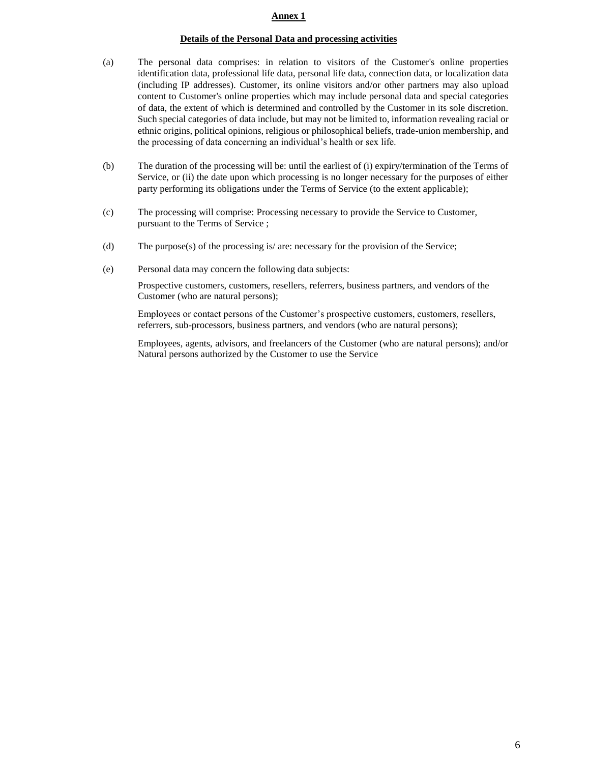## **Annex 1**

## **Details of the Personal Data and processing activities**

- (a) The personal data comprises: in relation to visitors of the Customer's online properties identification data, professional life data, personal life data, connection data, or localization data (including IP addresses). Customer, its online visitors and/or other partners may also upload content to Customer's online properties which may include personal data and special categories of data, the extent of which is determined and controlled by the Customer in its sole discretion. Such special categories of data include, but may not be limited to, information revealing racial or ethnic origins, political opinions, religious or philosophical beliefs, trade-union membership, and the processing of data concerning an individual's health or sex life.
- (b) The duration of the processing will be: until the earliest of (i) expiry/termination of the Terms of Service, or (ii) the date upon which processing is no longer necessary for the purposes of either party performing its obligations under the Terms of Service (to the extent applicable);
- (c) The processing will comprise: Processing necessary to provide the Service to Customer, pursuant to the Terms of Service ;
- (d) The purpose(s) of the processing is/ are: necessary for the provision of the Service;
- (e) Personal data may concern the following data subjects:

Prospective customers, customers, resellers, referrers, business partners, and vendors of the Customer (who are natural persons);

Employees or contact persons of the Customer's prospective customers, customers, resellers, referrers, sub-processors, business partners, and vendors (who are natural persons);

Employees, agents, advisors, and freelancers of the Customer (who are natural persons); and/or Natural persons authorized by the Customer to use the Service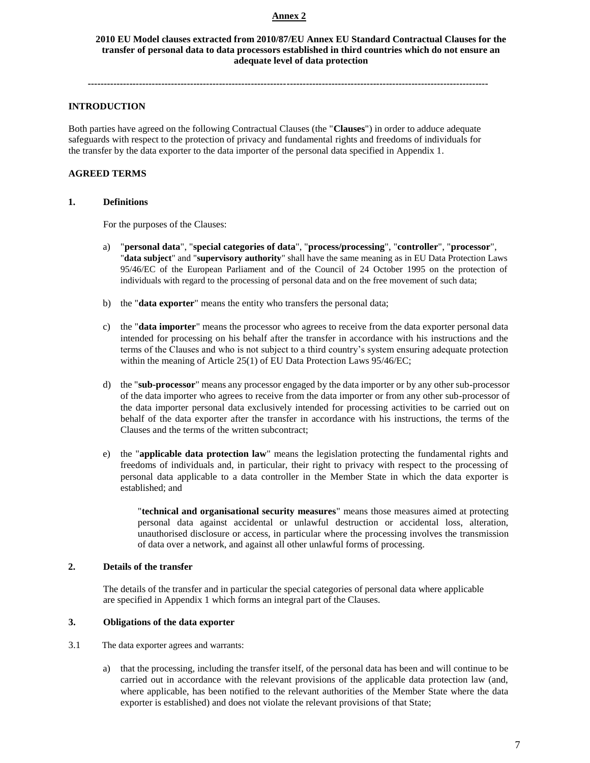## **Annex 2**

**2010 EU Model clauses extracted from 2010/87/EU Annex EU Standard Contractual Clauses for the transfer of personal data to data processors established in third countries which do not ensure an adequate level of data protection**

**-----------------------------------------------------------------------------------------------------------------------------**

## **INTRODUCTION**

Both parties have agreed on the following Contractual Clauses (the "**Clauses**") in order to adduce adequate safeguards with respect to the protection of privacy and fundamental rights and freedoms of individuals for the transfer by the data exporter to the data importer of the personal data specified in Appendix 1.

## **AGREED TERMS**

#### **1. Definitions**

For the purposes of the Clauses:

- a) "**personal data**", "**special categories of data**", "**process/processing**", "**controller**", "**processor**", "**data subject**" and "**supervisory authority**" shall have the same meaning as in EU Data Protection Laws 95/46/EC of the European Parliament and of the Council of 24 October 1995 on the protection of individuals with regard to the processing of personal data and on the free movement of such data;
- b) the "**data exporter**" means the entity who transfers the personal data;
- c) the "**data importer**" means the processor who agrees to receive from the data exporter personal data intended for processing on his behalf after the transfer in accordance with his instructions and the terms of the Clauses and who is not subject to a third country's system ensuring adequate protection within the meaning of Article 25(1) of EU Data Protection Laws 95/46/EC;
- d) the "**sub-processor**" means any processor engaged by the data importer or by any other sub-processor of the data importer who agrees to receive from the data importer or from any other sub-processor of the data importer personal data exclusively intended for processing activities to be carried out on behalf of the data exporter after the transfer in accordance with his instructions, the terms of the Clauses and the terms of the written subcontract;
- e) the "**applicable data protection law**" means the legislation protecting the fundamental rights and freedoms of individuals and, in particular, their right to privacy with respect to the processing of personal data applicable to a data controller in the Member State in which the data exporter is established; and

"**technical and organisational security measures**" means those measures aimed at protecting personal data against accidental or unlawful destruction or accidental loss, alteration, unauthorised disclosure or access, in particular where the processing involves the transmission of data over a network, and against all other unlawful forms of processing.

## **2. Details of the transfer**

The details of the transfer and in particular the special categories of personal data where applicable are specified in Appendix 1 which forms an integral part of the Clauses.

#### **3. Obligations of the data exporter**

3.1 The data exporter agrees and warrants:

a) that the processing, including the transfer itself, of the personal data has been and will continue to be carried out in accordance with the relevant provisions of the applicable data protection law (and, where applicable, has been notified to the relevant authorities of the Member State where the data exporter is established) and does not violate the relevant provisions of that State;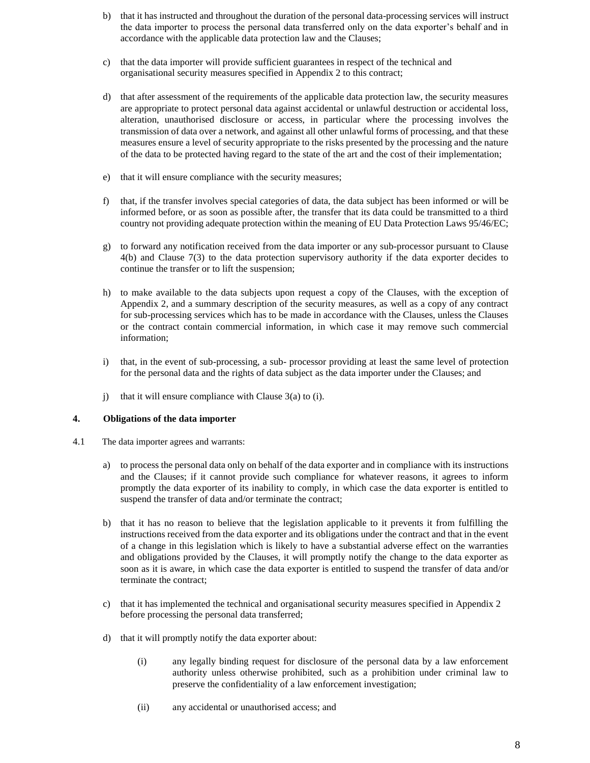- b) that it has instructed and throughout the duration of the personal data-processing services will instruct the data importer to process the personal data transferred only on the data exporter's behalf and in accordance with the applicable data protection law and the Clauses;
- c) that the data importer will provide sufficient guarantees in respect of the technical and organisational security measures specified in Appendix 2 to this contract;
- d) that after assessment of the requirements of the applicable data protection law, the security measures are appropriate to protect personal data against accidental or unlawful destruction or accidental loss, alteration, unauthorised disclosure or access, in particular where the processing involves the transmission of data over a network, and against all other unlawful forms of processing, and that these measures ensure a level of security appropriate to the risks presented by the processing and the nature of the data to be protected having regard to the state of the art and the cost of their implementation;
- e) that it will ensure compliance with the security measures;
- f) that, if the transfer involves special categories of data, the data subject has been informed or will be informed before, or as soon as possible after, the transfer that its data could be transmitted to a third country not providing adequate protection within the meaning of EU Data Protection Laws 95/46/EC;
- g) to forward any notification received from the data importer or any sub-processor pursuant to Clause 4(b) and Clause 7(3) to the data protection supervisory authority if the data exporter decides to continue the transfer or to lift the suspension;
- h) to make available to the data subjects upon request a copy of the Clauses, with the exception of Appendix 2, and a summary description of the security measures, as well as a copy of any contract for sub-processing services which has to be made in accordance with the Clauses, unless the Clauses or the contract contain commercial information, in which case it may remove such commercial information;
- i) that, in the event of sub-processing, a sub- processor providing at least the same level of protection for the personal data and the rights of data subject as the data importer under the Clauses; and
- j) that it will ensure compliance with Clause 3(a) to (i).

## **4. Obligations of the data importer**

- 4.1 The data importer agrees and warrants:
	- a) to process the personal data only on behalf of the data exporter and in compliance with its instructions and the Clauses; if it cannot provide such compliance for whatever reasons, it agrees to inform promptly the data exporter of its inability to comply, in which case the data exporter is entitled to suspend the transfer of data and/or terminate the contract;
	- b) that it has no reason to believe that the legislation applicable to it prevents it from fulfilling the instructions received from the data exporter and its obligations under the contract and that in the event of a change in this legislation which is likely to have a substantial adverse effect on the warranties and obligations provided by the Clauses, it will promptly notify the change to the data exporter as soon as it is aware, in which case the data exporter is entitled to suspend the transfer of data and/or terminate the contract;
	- c) that it has implemented the technical and organisational security measures specified in Appendix 2 before processing the personal data transferred;
	- d) that it will promptly notify the data exporter about:
		- (i) any legally binding request for disclosure of the personal data by a law enforcement authority unless otherwise prohibited, such as a prohibition under criminal law to preserve the confidentiality of a law enforcement investigation;
		- (ii) any accidental or unauthorised access; and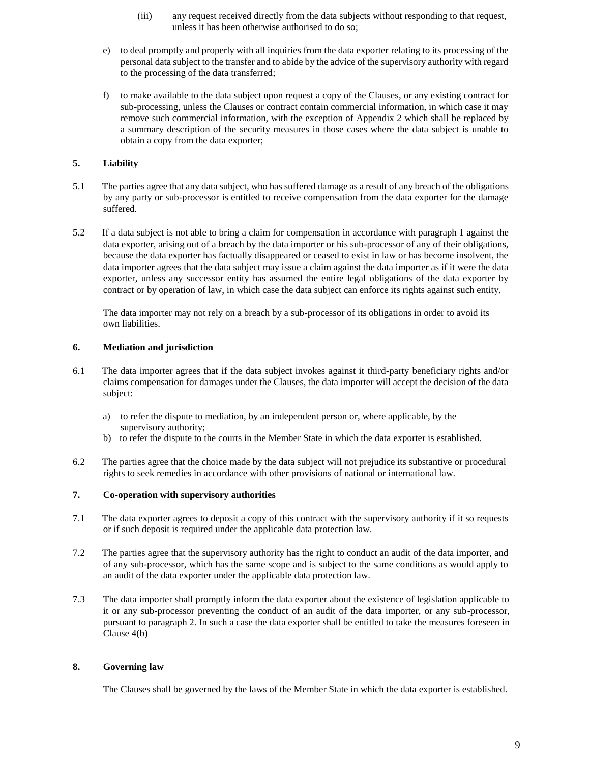- (iii) any request received directly from the data subjects without responding to that request, unless it has been otherwise authorised to do so;
- e) to deal promptly and properly with all inquiries from the data exporter relating to its processing of the personal data subject to the transfer and to abide by the advice of the supervisory authority with regard to the processing of the data transferred;
- f) to make available to the data subject upon request a copy of the Clauses, or any existing contract for sub-processing, unless the Clauses or contract contain commercial information, in which case it may remove such commercial information, with the exception of Appendix 2 which shall be replaced by a summary description of the security measures in those cases where the data subject is unable to obtain a copy from the data exporter;

## **5. Liability**

- 5.1 The parties agree that any data subject, who has suffered damage as a result of any breach of the obligations by any party or sub-processor is entitled to receive compensation from the data exporter for the damage suffered.
- 5.2 If a data subject is not able to bring a claim for compensation in accordance with paragraph 1 against the data exporter, arising out of a breach by the data importer or his sub-processor of any of their obligations, because the data exporter has factually disappeared or ceased to exist in law or has become insolvent, the data importer agrees that the data subject may issue a claim against the data importer as if it were the data exporter, unless any successor entity has assumed the entire legal obligations of the data exporter by contract or by operation of law, in which case the data subject can enforce its rights against such entity.

The data importer may not rely on a breach by a sub-processor of its obligations in order to avoid its own liabilities.

## **6. Mediation and jurisdiction**

- 6.1 The data importer agrees that if the data subject invokes against it third-party beneficiary rights and/or claims compensation for damages under the Clauses, the data importer will accept the decision of the data subject:
	- a) to refer the dispute to mediation, by an independent person or, where applicable, by the supervisory authority;
	- b) to refer the dispute to the courts in the Member State in which the data exporter is established.
- 6.2 The parties agree that the choice made by the data subject will not prejudice its substantive or procedural rights to seek remedies in accordance with other provisions of national or international law.

## **7. Co-operation with supervisory authorities**

- 7.1 The data exporter agrees to deposit a copy of this contract with the supervisory authority if it so requests or if such deposit is required under the applicable data protection law.
- 7.2 The parties agree that the supervisory authority has the right to conduct an audit of the data importer, and of any sub-processor, which has the same scope and is subject to the same conditions as would apply to an audit of the data exporter under the applicable data protection law.
- 7.3 The data importer shall promptly inform the data exporter about the existence of legislation applicable to it or any sub-processor preventing the conduct of an audit of the data importer, or any sub-processor, pursuant to paragraph 2. In such a case the data exporter shall be entitled to take the measures foreseen in Clause 4(b)

## **8. Governing law**

The Clauses shall be governed by the laws of the Member State in which the data exporter is established.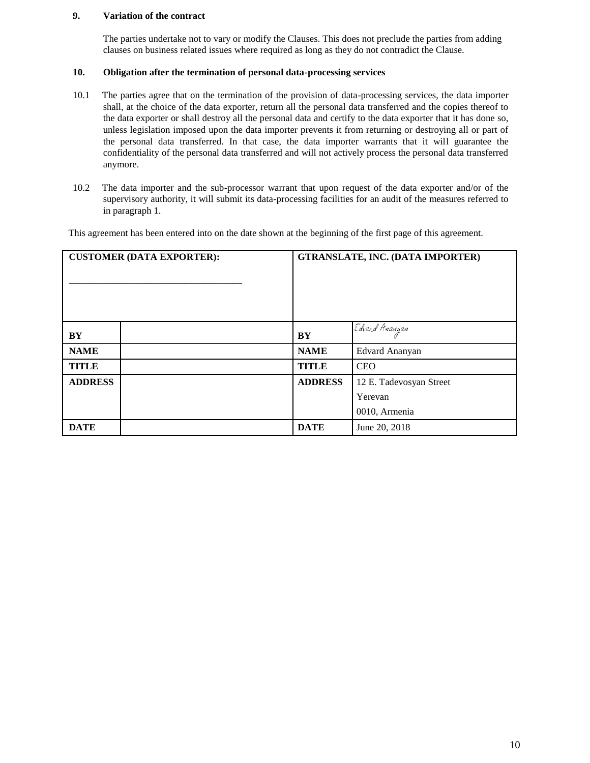## **9. Variation of the contract**

The parties undertake not to vary or modify the Clauses. This does not preclude the parties from adding clauses on business related issues where required as long as they do not contradict the Clause.

## **10. Obligation after the termination of personal data-processing services**

- 10.1 The parties agree that on the termination of the provision of data-processing services, the data importer shall, at the choice of the data exporter, return all the personal data transferred and the copies thereof to the data exporter or shall destroy all the personal data and certify to the data exporter that it has done so, unless legislation imposed upon the data importer prevents it from returning or destroying all or part of the personal data transferred. In that case, the data importer warrants that it will guarantee the confidentiality of the personal data transferred and will not actively process the personal data transferred anymore.
- 10.2 The data importer and the sub-processor warrant that upon request of the data exporter and/or of the supervisory authority, it will submit its data-processing facilities for an audit of the measures referred to in paragraph 1.

This agreement has been entered into on the date shown at the beginning of the first page of this agreement.

| <b>CUSTOMER (DATA EXPORTER):</b> |  | <b>GTRANSLATE, INC. (DATA IMPORTER)</b> |                         |
|----------------------------------|--|-----------------------------------------|-------------------------|
| BY                               |  | BY                                      | Edvard Ananyan          |
| <b>NAME</b>                      |  | <b>NAME</b>                             | Edvard Ananyan          |
| <b>TITLE</b>                     |  | <b>TITLE</b>                            | <b>CEO</b>              |
| <b>ADDRESS</b>                   |  | <b>ADDRESS</b>                          | 12 E. Tadevosyan Street |
|                                  |  |                                         | Yerevan                 |
|                                  |  |                                         | 0010, Armenia           |
| <b>DATE</b>                      |  | <b>DATE</b>                             | June 20, 2018           |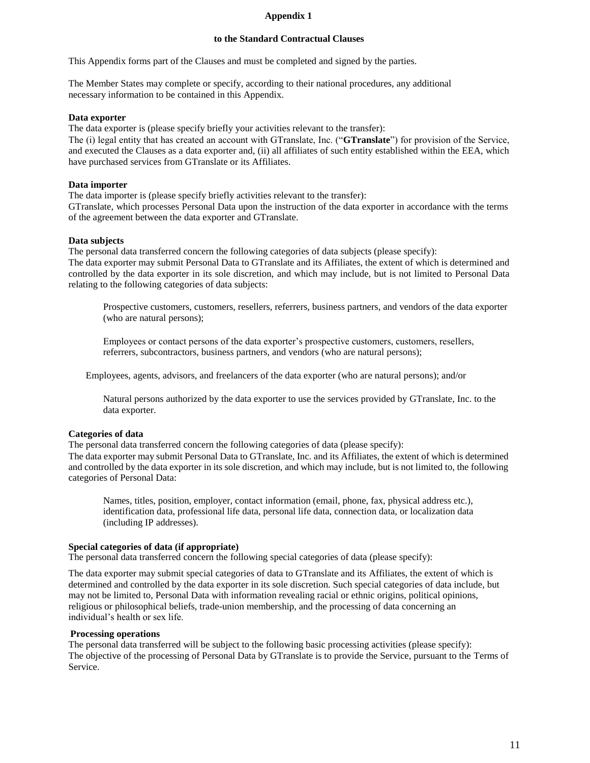## **Appendix 1**

#### **to the Standard Contractual Clauses**

This Appendix forms part of the Clauses and must be completed and signed by the parties.

The Member States may complete or specify, according to their national procedures, any additional necessary information to be contained in this Appendix.

#### **Data exporter**

The data exporter is (please specify briefly your activities relevant to the transfer):

The (i) legal entity that has created an account with GTranslate, Inc. ("**GTranslate**") for provision of the Service, and executed the Clauses as a data exporter and, (ii) all affiliates of such entity established within the EEA, which have purchased services from GTranslate or its Affiliates.

#### **Data importer**

The data importer is (please specify briefly activities relevant to the transfer):

GTranslate, which processes Personal Data upon the instruction of the data exporter in accordance with the terms of the agreement between the data exporter and GTranslate.

#### **Data subjects**

The personal data transferred concern the following categories of data subjects (please specify): The data exporter may submit Personal Data to GTranslate and its Affiliates, the extent of which is determined and controlled by the data exporter in its sole discretion, and which may include, but is not limited to Personal Data relating to the following categories of data subjects:

Prospective customers, customers, resellers, referrers, business partners, and vendors of the data exporter (who are natural persons);

Employees or contact persons of the data exporter's prospective customers, customers, resellers, referrers, subcontractors, business partners, and vendors (who are natural persons);

Employees, agents, advisors, and freelancers of the data exporter (who are natural persons); and/or

Natural persons authorized by the data exporter to use the services provided by GTranslate, Inc. to the data exporter.

#### **Categories of data**

The personal data transferred concern the following categories of data (please specify): The data exporter may submit Personal Data to GTranslate, Inc. and its Affiliates, the extent of which is determined and controlled by the data exporter in its sole discretion, and which may include, but is not limited to, the following categories of Personal Data:

Names, titles, position, employer, contact information (email, phone, fax, physical address etc.), identification data, professional life data, personal life data, connection data, or localization data (including IP addresses).

#### **Special categories of data (if appropriate)**

The personal data transferred concern the following special categories of data (please specify):

The data exporter may submit special categories of data to GTranslate and its Affiliates, the extent of which is determined and controlled by the data exporter in its sole discretion. Such special categories of data include, but may not be limited to, Personal Data with information revealing racial or ethnic origins, political opinions, religious or philosophical beliefs, trade-union membership, and the processing of data concerning an individual's health or sex life.

#### **Processing operations**

The personal data transferred will be subject to the following basic processing activities (please specify): The objective of the processing of Personal Data by GTranslate is to provide the Service, pursuant to the Terms of Service.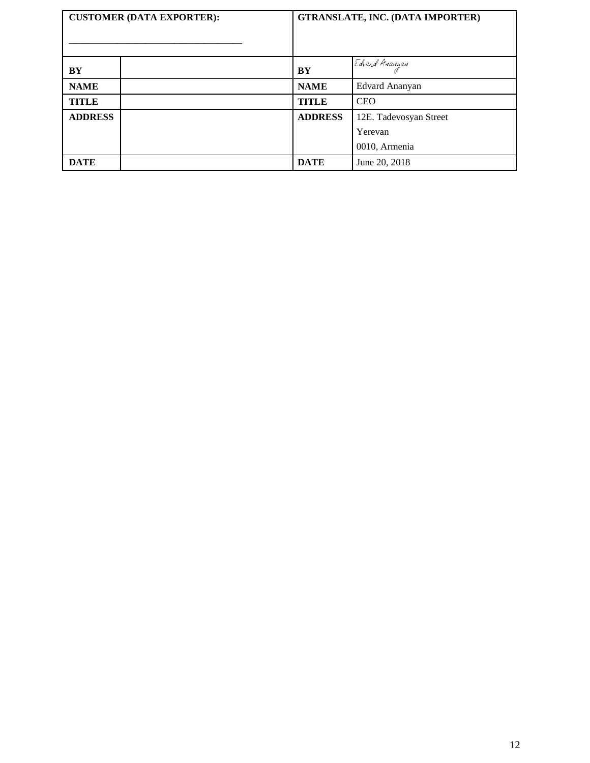| <b>CUSTOMER (DATA EXPORTER):</b> |  | <b>GTRANSLATE, INC. (DATA IMPORTER)</b> |                        |
|----------------------------------|--|-----------------------------------------|------------------------|
| BY                               |  | BY                                      | Edvard Ananyan         |
| <b>NAME</b>                      |  | <b>NAME</b>                             | Edvard Ananyan         |
| <b>TITLE</b>                     |  | <b>TITLE</b>                            | <b>CEO</b>             |
| <b>ADDRESS</b>                   |  | <b>ADDRESS</b>                          | 12E. Tadevosyan Street |
|                                  |  |                                         | Yerevan                |
|                                  |  |                                         | 0010, Armenia          |
| <b>DATE</b>                      |  | <b>DATE</b>                             | June 20, 2018          |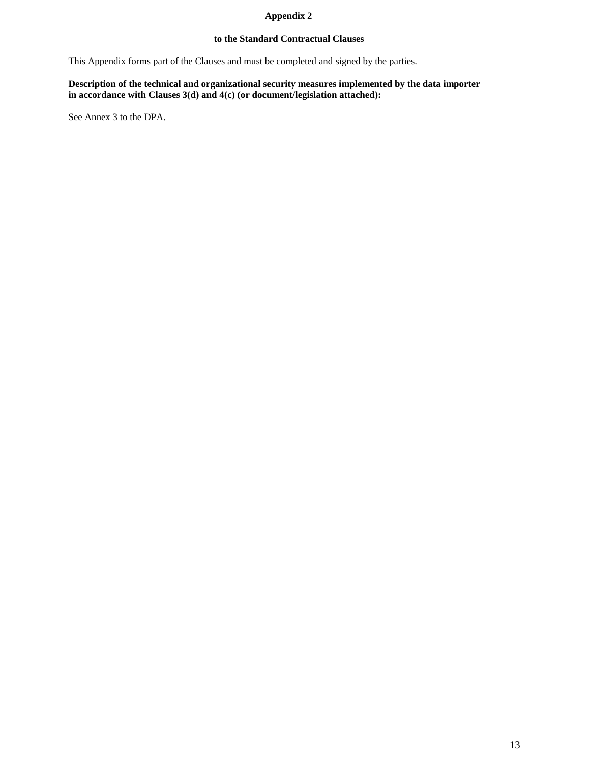## **Appendix 2**

## **to the Standard Contractual Clauses**

This Appendix forms part of the Clauses and must be completed and signed by the parties.

## **Description of the technical and organizational security measures implemented by the data importer in accordance with Clauses 3(d) and 4(c) (or document/legislation attached):**

See Annex 3 to the DPA.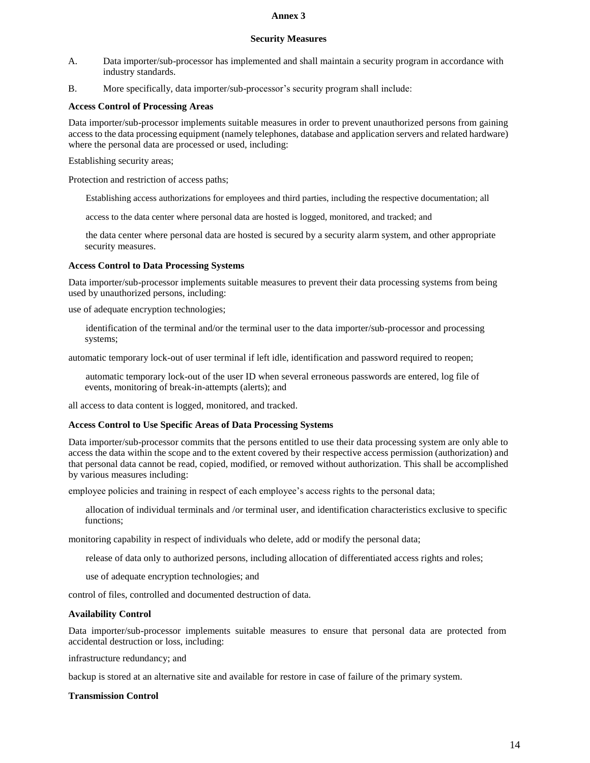#### **Annex 3**

#### **Security Measures**

- A. Data importer/sub-processor has implemented and shall maintain a security program in accordance with industry standards.
- B. More specifically, data importer/sub-processor's security program shall include:

## **Access Control of Processing Areas**

Data importer/sub-processor implements suitable measures in order to prevent unauthorized persons from gaining access to the data processing equipment (namely telephones, database and application servers and related hardware) where the personal data are processed or used, including:

Establishing security areas;

Protection and restriction of access paths;

Establishing access authorizations for employees and third parties, including the respective documentation; all

access to the data center where personal data are hosted is logged, monitored, and tracked; and

the data center where personal data are hosted is secured by a security alarm system, and other appropriate security measures.

#### **Access Control to Data Processing Systems**

Data importer/sub-processor implements suitable measures to prevent their data processing systems from being used by unauthorized persons, including:

use of adequate encryption technologies;

identification of the terminal and/or the terminal user to the data importer/sub-processor and processing systems;

automatic temporary lock-out of user terminal if left idle, identification and password required to reopen;

automatic temporary lock-out of the user ID when several erroneous passwords are entered, log file of events, monitoring of break-in-attempts (alerts); and

all access to data content is logged, monitored, and tracked.

#### **Access Control to Use Specific Areas of Data Processing Systems**

Data importer/sub-processor commits that the persons entitled to use their data processing system are only able to access the data within the scope and to the extent covered by their respective access permission (authorization) and that personal data cannot be read, copied, modified, or removed without authorization. This shall be accomplished by various measures including:

employee policies and training in respect of each employee's access rights to the personal data;

allocation of individual terminals and /or terminal user, and identification characteristics exclusive to specific functions;

monitoring capability in respect of individuals who delete, add or modify the personal data;

release of data only to authorized persons, including allocation of differentiated access rights and roles;

use of adequate encryption technologies; and

control of files, controlled and documented destruction of data.

#### **Availability Control**

Data importer/sub-processor implements suitable measures to ensure that personal data are protected from accidental destruction or loss, including:

infrastructure redundancy; and

backup is stored at an alternative site and available for restore in case of failure of the primary system.

#### **Transmission Control**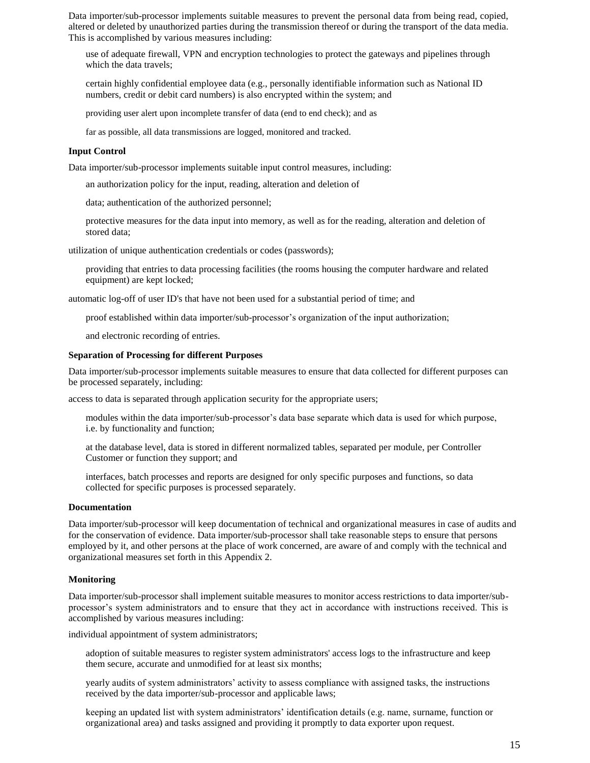Data importer/sub-processor implements suitable measures to prevent the personal data from being read, copied, altered or deleted by unauthorized parties during the transmission thereof or during the transport of the data media. This is accomplished by various measures including:

use of adequate firewall, VPN and encryption technologies to protect the gateways and pipelines through which the data travels;

certain highly confidential employee data (e.g., personally identifiable information such as National ID numbers, credit or debit card numbers) is also encrypted within the system; and

providing user alert upon incomplete transfer of data (end to end check); and as

far as possible, all data transmissions are logged, monitored and tracked.

#### **Input Control**

Data importer/sub-processor implements suitable input control measures, including:

an authorization policy for the input, reading, alteration and deletion of

data; authentication of the authorized personnel;

protective measures for the data input into memory, as well as for the reading, alteration and deletion of stored data;

utilization of unique authentication credentials or codes (passwords);

providing that entries to data processing facilities (the rooms housing the computer hardware and related equipment) are kept locked;

automatic log-off of user ID's that have not been used for a substantial period of time; and

proof established within data importer/sub-processor's organization of the input authorization;

and electronic recording of entries.

#### **Separation of Processing for different Purposes**

Data importer/sub-processor implements suitable measures to ensure that data collected for different purposes can be processed separately, including:

access to data is separated through application security for the appropriate users;

modules within the data importer/sub-processor's data base separate which data is used for which purpose, i.e. by functionality and function;

at the database level, data is stored in different normalized tables, separated per module, per Controller Customer or function they support; and

interfaces, batch processes and reports are designed for only specific purposes and functions, so data collected for specific purposes is processed separately.

#### **Documentation**

Data importer/sub-processor will keep documentation of technical and organizational measures in case of audits and for the conservation of evidence. Data importer/sub-processor shall take reasonable steps to ensure that persons employed by it, and other persons at the place of work concerned, are aware of and comply with the technical and organizational measures set forth in this Appendix 2.

#### **Monitoring**

Data importer/sub-processor shall implement suitable measures to monitor access restrictions to data importer/subprocessor's system administrators and to ensure that they act in accordance with instructions received. This is accomplished by various measures including:

individual appointment of system administrators;

adoption of suitable measures to register system administrators' access logs to the infrastructure and keep them secure, accurate and unmodified for at least six months;

yearly audits of system administrators' activity to assess compliance with assigned tasks, the instructions received by the data importer/sub-processor and applicable laws;

keeping an updated list with system administrators' identification details (e.g. name, surname, function or organizational area) and tasks assigned and providing it promptly to data exporter upon request.